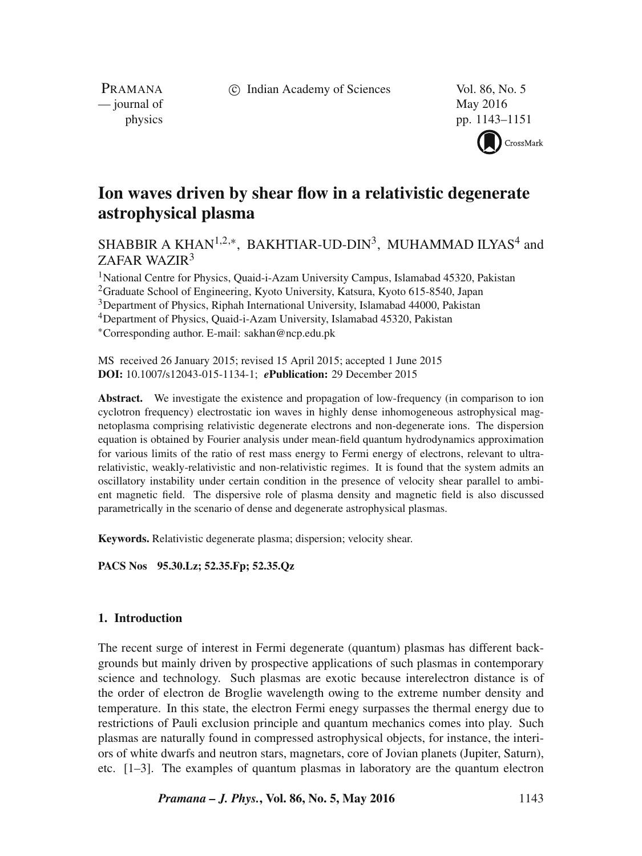c Indian Academy of Sciences Vol. 86, No. 5

PRAMANA — journal of May 2016

physics pp. 1143–1151 CrossMark

# **Ion waves driven by shear flow in a relativistic degenerate astrophysical plasma**

SHABBIR A KHAN<sup>1,2,∗</sup>, BAKHTIAR-UD-DIN<sup>3</sup>, MUHAMMAD ILYAS<sup>4</sup> and ZAFAR WAZIR<sup>3</sup>

<sup>1</sup>National Centre for Physics, Quaid-i-Azam University Campus, Islamabad 45320, Pakistan 2Graduate School of Engineering, Kyoto University, Katsura, Kyoto 615-8540, Japan

3Department of Physics, Riphah International University, Islamabad 44000, Pakistan

4Department of Physics, Quaid-i-Azam University, Islamabad 45320, Pakistan

∗Corresponding author. E-mail: sakhan@ncp.edu.pk

MS received 26 January 2015; revised 15 April 2015; accepted 1 June 2015 **DOI:** 10.1007/s12043-015-1134-1; *e***Publication:** 29 December 2015

Abstract. We investigate the existence and propagation of low-frequency (in comparison to ion cyclotron frequency) electrostatic ion waves in highly dense inhomogeneous astrophysical magnetoplasma comprising relativistic degenerate electrons and non-degenerate ions. The dispersion equation is obtained by Fourier analysis under mean-field quantum hydrodynamics approximation for various limits of the ratio of rest mass energy to Fermi energy of electrons, relevant to ultrarelativistic, weakly-relativistic and non-relativistic regimes. It is found that the system admits an oscillatory instability under certain condition in the presence of velocity shear parallel to ambient magnetic field. The dispersive role of plasma density and magnetic field is also discussed parametrically in the scenario of dense and degenerate astrophysical plasmas.

**Keywords.** Relativistic degenerate plasma; dispersion; velocity shear.

**PACS Nos 95.30.Lz; 52.35.Fp; 52.35.Qz**

## **1. Introduction**

The recent surge of interest in Fermi degenerate (quantum) plasmas has different backgrounds but mainly driven by prospective applications of such plasmas in contemporary science and technology. Such plasmas are exotic because interelectron distance is of the order of electron de Broglie wavelength owing to the extreme number density and temperature. In this state, the electron Fermi enegy surpasses the thermal energy due to restrictions of Pauli exclusion principle and quantum mechanics comes into play. Such plasmas are naturally found in compressed astrophysical objects, for instance, the interiors of white dwarfs and neutron stars, magnetars, core of Jovian planets (Jupiter, Saturn), etc. [1–3]. The examples of quantum plasmas in laboratory are the quantum electron

*Pramana – J. Phys.***, Vol. 86, No. 5, May 2016** 1143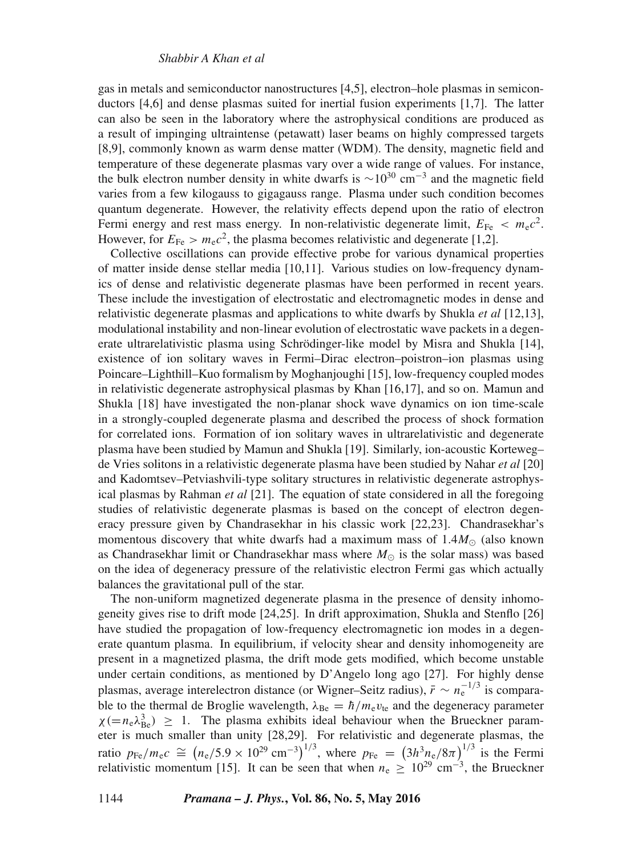gas in metals and semiconductor nanostructures [4,5], electron–hole plasmas in semiconductors [4,6] and dense plasmas suited for inertial fusion experiments [1,7]. The latter can also be seen in the laboratory where the astrophysical conditions are produced as a result of impinging ultraintense (petawatt) laser beams on highly compressed targets [8,9], commonly known as warm dense matter (WDM). The density, magnetic field and temperature of these degenerate plasmas vary over a wide range of values. For instance, the bulk electron number density in white dwarfs is  $\sim 10^{30}$  cm<sup>-3</sup> and the magnetic field varies from a few kilogauss to gigagauss range. Plasma under such condition becomes quantum degenerate. However, the relativity effects depend upon the ratio of electron Fermi energy and rest mass energy. In non-relativistic degenerate limit,  $E_{Fe} < m_{e}c^{2}$ . However, for  $E_{\text{Fe}} > m_e c^2$ , the plasma becomes relativistic and degenerate [1,2].

Collective oscillations can provide effective probe for various dynamical properties of matter inside dense stellar media [10,11]. Various studies on low-frequency dynamics of dense and relativistic degenerate plasmas have been performed in recent years. These include the investigation of electrostatic and electromagnetic modes in dense and relativistic degenerate plasmas and applications to white dwarfs by Shukla *et al* [12,13], modulational instability and non-linear evolution of electrostatic wave packets in a degenerate ultrarelativistic plasma using Schrödinger-like model by Misra and Shukla [14], existence of ion solitary waves in Fermi–Dirac electron–poistron–ion plasmas using Poincare–Lighthill–Kuo formalism by Moghanjoughi [15], low-frequency coupled modes in relativistic degenerate astrophysical plasmas by Khan [16,17], and so on. Mamun and Shukla [18] have investigated the non-planar shock wave dynamics on ion time-scale in a strongly-coupled degenerate plasma and described the process of shock formation for correlated ions. Formation of ion solitary waves in ultrarelativistic and degenerate plasma have been studied by Mamun and Shukla [19]. Similarly, ion-acoustic Korteweg– de Vries solitons in a relativistic degenerate plasma have been studied by Nahar *et al* [20] and Kadomtsev–Petviashvili-type solitary structures in relativistic degenerate astrophysical plasmas by Rahman *et al* [21]. The equation of state considered in all the foregoing studies of relativistic degenerate plasmas is based on the concept of electron degeneracy pressure given by Chandrasekhar in his classic work [22,23]. Chandrasekhar's momentous discovery that white dwarfs had a maximum mass of  $1.4M_{\odot}$  (also known as Chandrasekhar limit or Chandrasekhar mass where  $M_{\odot}$  is the solar mass) was based on the idea of degeneracy pressure of the relativistic electron Fermi gas which actually balances the gravitational pull of the star.

The non-uniform magnetized degenerate plasma in the presence of density inhomogeneity gives rise to drift mode [24,25]. In drift approximation, Shukla and Stenflo [26] have studied the propagation of low-frequency electromagnetic ion modes in a degenerate quantum plasma. In equilibrium, if velocity shear and density inhomogeneity are present in a magnetized plasma, the drift mode gets modified, which become unstable under certain conditions, as mentioned by D'Angelo long ago [27]. For highly dense plasmas, average interelectron distance (or Wigner–Seitz radius),  $\bar{r} \sim n_e^{-1/3}$  is comparable to the thermal de Broglie wavelength,  $\lambda_{\text{Be}} = \hbar / m_e v_{te}$  and the degeneracy parameter  $\chi = n_e \lambda_{\text{Be}}^3$ )  $\geq 1$ . The plasma exhibits ideal behaviour when the Brueckner parameter is much smaller than unity [28,29]. For relativistic and degenerate plasmas, the ratio  $p_{\text{Fe}}/m_{\text{e}}c \cong (n_{\text{e}}/5.9 \times 10^{29} \text{ cm}^{-3})^{1/3}$ , where  $p_{\text{Fe}} = (3h_{\text{me}}^3/8\pi)^{1/3}$  is the Fermi relativistic momentum [15]. It can be seen that when  $n_e \ge 10^{29}$  cm<sup>-3</sup>, the Brueckner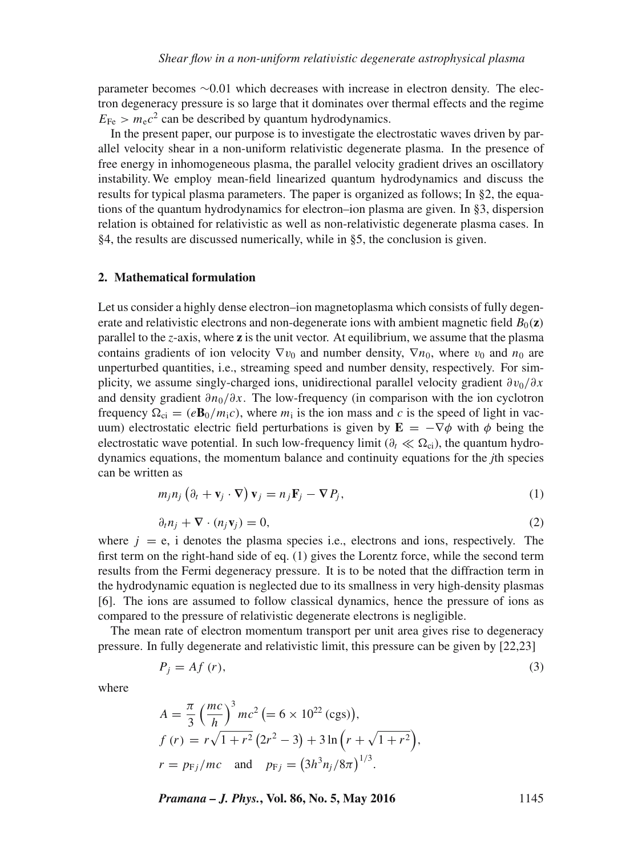parameter becomes ∼0.01 which decreases with increase in electron density. The electron degeneracy pressure is so large that it dominates over thermal effects and the regime  $E_{\text{Fe}} > m_{\text{e}}c^2$  can be described by quantum hydrodynamics.

In the present paper, our purpose is to investigate the electrostatic waves driven by parallel velocity shear in a non-uniform relativistic degenerate plasma. In the presence of free energy in inhomogeneous plasma, the parallel velocity gradient drives an oscillatory instability. We employ mean-field linearized quantum hydrodynamics and discuss the results for typical plasma parameters. The paper is organized as follows; In §2, the equations of the quantum hydrodynamics for electron–ion plasma are given. In §3, dispersion relation is obtained for relativistic as well as non-relativistic degenerate plasma cases. In §4, the results are discussed numerically, while in §5, the conclusion is given.

#### **2. Mathematical formulation**

Let us consider a highly dense electron–ion magnetoplasma which consists of fully degenerate and relativistic electrons and non-degenerate ions with ambient magnetic field  $B_0(z)$ parallel to the *z*-axis, where **z** is the unit vector. At equilibrium, we assume that the plasma contains gradients of ion velocity  $\nabla v_0$  and number density,  $\nabla n_0$ , where  $v_0$  and  $n_0$  are unperturbed quantities, i.e., streaming speed and number density, respectively. For simplicity, we assume singly-charged ions, unidirectional parallel velocity gradient  $\partial v_0/\partial x$ and density gradient  $\partial n_0/\partial x$ . The low-frequency (in comparison with the ion cyclotron frequency  $\Omega_{ci} = (e\mathbf{B}_0/m_ic)$ , where  $m_i$  is the ion mass and c is the speed of light in vacuum) electrostatic electric field perturbations is given by  $\mathbf{E} = -\nabla \phi$  with  $\phi$  being the electrostatic wave potential. In such low-frequency limit ( $\partial_t \ll \Omega_c$ ), the quantum hydrodynamics equations, the momentum balance and continuity equations for the *j*th species can be written as

$$
m_j n_j \left( \partial_t + \mathbf{v}_j \cdot \nabla \right) \mathbf{v}_j = n_j \mathbf{F}_j - \nabla P_j, \tag{1}
$$

$$
\partial_t n_j + \nabla \cdot (n_j \mathbf{v}_j) = 0,\tag{2}
$$

where  $j = e$ , i denotes the plasma species i.e., electrons and ions, respectively. The first term on the right-hand side of eq. (1) gives the Lorentz force, while the second term results from the Fermi degeneracy pressure. It is to be noted that the diffraction term in the hydrodynamic equation is neglected due to its smallness in very high-density plasmas [6]. The ions are assumed to follow classical dynamics, hence the pressure of ions as compared to the pressure of relativistic degenerate electrons is negligible.

The mean rate of electron momentum transport per unit area gives rise to degeneracy pressure. In fully degenerate and relativistic limit, this pressure can be given by [22,23]

$$
P_j = Af(r),\tag{3}
$$

where

$$
A = \frac{\pi}{3} \left(\frac{mc}{h}\right)^3 mc^2 \left(= 6 \times 10^{22} \text{ (cgs)}\right),
$$
  
\n
$$
f(r) = r\sqrt{1 + r^2} \left(2r^2 - 3\right) + 3 \ln \left(r + \sqrt{1 + r^2}\right),
$$
  
\n
$$
r = p_{Fj}/mc \text{ and } p_{Fj} = \left(3h^3 n_j / 8\pi\right)^{1/3}.
$$

*Pramana – J. Phys.***, Vol. 86, No. 5, May 2016** 1145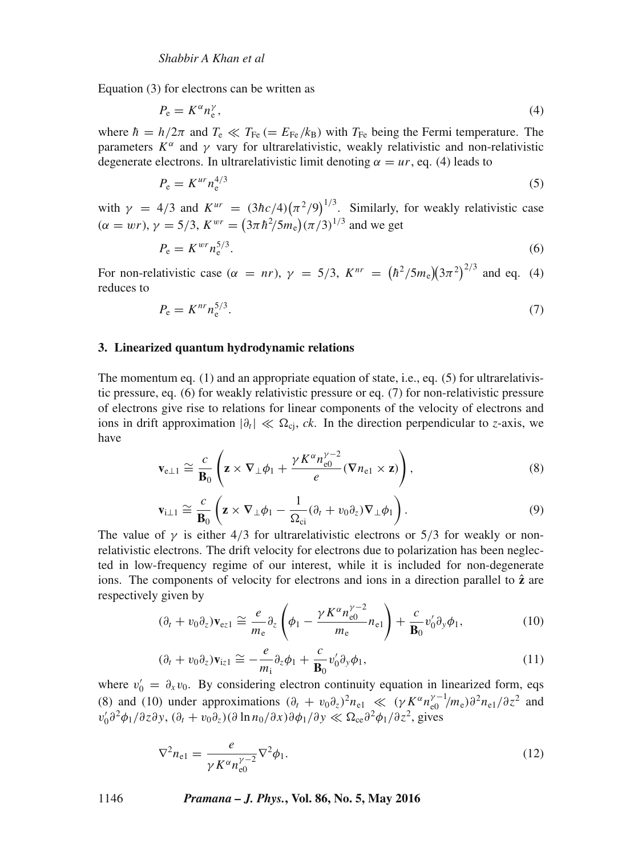Equation (3) for electrons can be written as

$$
P_{\rm e} = K^{\alpha} n_{\rm e}^{\gamma},\tag{4}
$$

where  $h = h/2\pi$  and  $T_e \ll T_{Fe} (= E_{Fe}/k_B)$  with  $T_{Fe}$  being the Fermi temperature. The parameters  $K^{\alpha}$  and  $\gamma$  vary for ultrarelativistic, weakly relativistic and non-relativistic degenerate electrons. In ultrarelativistic limit denoting  $\alpha = ur$ , eq. (4) leads to

$$
P_e = K^{ur} n_e^{4/3} \tag{5}
$$

with  $\gamma = 4/3$  and  $K^{ur} = (3\hbar c/4)(\pi^2/9)^{1/3}$ . Similarly, for weakly relativistic case  $(\alpha = wr), \gamma = 5/3, K^{wr} = (3\pi \hbar^2 / 5m_e) (\pi/3)^{1/3}$  and we get

$$
P_e = K^{wr} n_e^{5/3}.
$$
\n<sup>(6)</sup>

For non-relativistic case ( $\alpha = nr$ ),  $\gamma = 5/3$ ,  $K^{nr} = (\hbar^2/5m_e)(3\pi^2)^{2/3}$  and eq. (4) reduces to

$$
P_e = K^{nr} n_e^{5/3}.
$$
\n<sup>(7)</sup>

#### **3. Linearized quantum hydrodynamic relations**

The momentum eq. (1) and an appropriate equation of state, i.e., eq. (5) for ultrarelativistic pressure, eq. (6) for weakly relativistic pressure or eq. (7) for non-relativistic pressure of electrons give rise to relations for linear components of the velocity of electrons and ions in drift approximation  $|\partial_t| \ll \Omega_{ci}$ , *ck*. In the direction perpendicular to *z*-axis, we have

$$
\mathbf{v}_{e\perp 1} \cong \frac{c}{\mathbf{B}_0} \left( \mathbf{z} \times \nabla_\perp \phi_1 + \frac{\gamma K^\alpha n_{e0}^{\gamma - 2}}{e} (\nabla n_{e1} \times \mathbf{z}) \right),\tag{8}
$$

$$
\mathbf{v}_{i\perp 1} \cong \frac{c}{\mathbf{B}_0} \left( \mathbf{z} \times \nabla_\perp \phi_1 - \frac{1}{\Omega_{ci}} (\partial_t + v_0 \partial_z) \nabla_\perp \phi_1 \right). \tag{9}
$$

The value of  $\gamma$  is either 4/3 for ultrarelativistic electrons or 5/3 for weakly or nonrelativistic electrons. The drift velocity for electrons due to polarization has been neglected in low-frequency regime of our interest, while it is included for non-degenerate ions. The components of velocity for electrons and ions in a direction parallel to  $\hat{z}$  are respectively given by

$$
(\partial_t + v_0 \partial_z) \mathbf{v}_{\text{e}z1} \cong \frac{e}{m_\text{e}} \partial_z \left( \phi_1 - \frac{\gamma K^\alpha n_{\text{e}0}^{\gamma - 2}}{m_\text{e}} n_{\text{e}1} \right) + \frac{c}{\mathbf{B}_0} v_0' \partial_y \phi_1, \tag{10}
$$

$$
(\partial_t + v_0 \partial_z) \mathbf{v}_{iz1} \cong -\frac{e}{m_i} \partial_z \phi_1 + \frac{c}{\mathbf{B}_0} v'_0 \partial_y \phi_1, \tag{11}
$$

where  $v'_0 = \partial_x v_0$ . By considering electron continuity equation in linearized form, eqs (8) and (10) under approximations  $(\partial_t + v_0 \partial_z)^2 n_{e1} \ll (\gamma K^\alpha n_{e0}^{\gamma - 1}/m_e) \partial^2 n_{e1}/\partial z^2$  and  $v'_0 \partial^2 \phi_1/\partial z \partial y$ ,  $(\partial_t + v_0 \partial_z)(\partial \ln n_0/\partial x) \partial \phi_1/\partial y \ll \Omega_{ce} \partial^2 \phi_1/\partial z^2$ , gives

$$
\nabla^2 n_{\rm el} = \frac{e}{\gamma K^{\alpha} n_{\rm el}^{\gamma - 2}} \nabla^2 \phi_1.
$$
 (12)

1146 *Pramana – J. Phys.***, Vol. 86, No. 5, May 2016**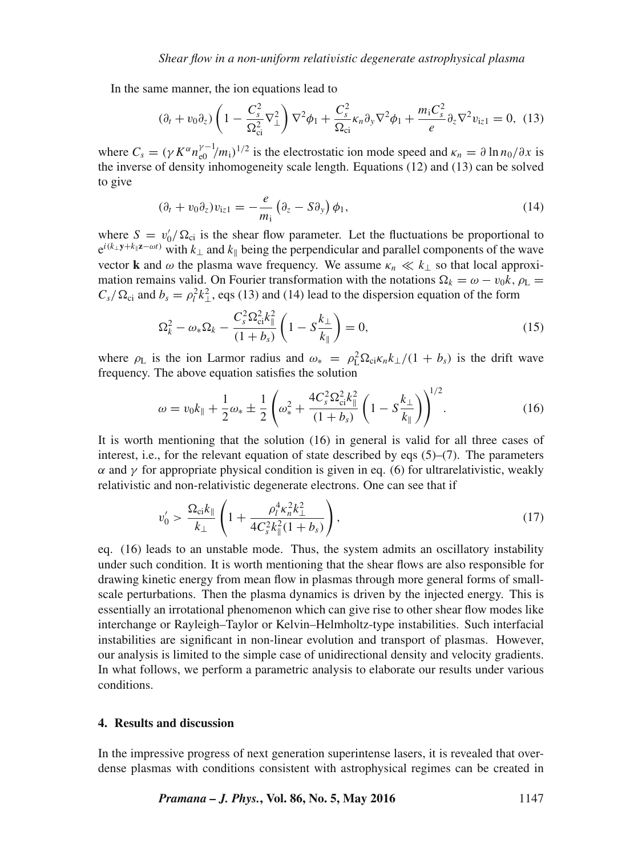In the same manner, the ion equations lead to

$$
(\partial_t + v_0 \partial_z) \left(1 - \frac{C_s^2}{\Omega_{ci}^2} \nabla_\perp^2 \right) \nabla^2 \phi_1 + \frac{C_s^2}{\Omega_{ci}} \kappa_n \partial_y \nabla^2 \phi_1 + \frac{m_i C_s^2}{e} \partial_z \nabla^2 v_{iz1} = 0, \tag{13}
$$

where  $C_s = (\gamma K^{\alpha} n_{e0}^{\gamma - 1}/m_1)^{1/2}$  is the electrostatic ion mode speed and  $\kappa_n = \partial \ln n_0 / \partial x$  is the inverse of density inhomogeneity scale length. Equations (12) and (13) can be solved to give

$$
(\partial_t + v_0 \partial_z) v_{iz1} = -\frac{e}{m_i} \left( \partial_z - S \partial_y \right) \phi_1, \tag{14}
$$

where  $S = v_0'/\Omega_{ci}$  is the shear flow parameter. Let the fluctuations be proportional to  $e^{i(k_\perp y + k_\parallel z - \omega t)}$  with  $k_\perp$  and  $k_\parallel$  being the perpendicular and parallel components of the wave vector **k** and  $\omega$  the plasma wave frequency. We assume  $\kappa_n \ll k_{\perp}$  so that local approximation remains valid. On Fourier transformation with the notations  $\Omega_k = \omega - v_0 k$ ,  $\rho_L =$  $C_s/\Omega_{ci}$  and  $b_s = \rho_l^2 k_\perp^2$ , eqs (13) and (14) lead to the dispersion equation of the form

$$
\Omega_k^2 - \omega_* \Omega_k - \frac{C_s^2 \Omega_{ci}^2 k_{\parallel}^2}{(1 + b_s)} \left( 1 - S \frac{k_{\perp}}{k_{\parallel}} \right) = 0, \tag{15}
$$

where  $\rho_L$  is the ion Larmor radius and  $\omega_* = \rho_L^2 \Omega_{ci} \kappa_n k_\perp / (1 + b_s)$  is the drift wave frequency. The above equation satisfies the solution

$$
\omega = v_0 k_{\parallel} + \frac{1}{2} \omega_* \pm \frac{1}{2} \left( \omega_*^2 + \frac{4C_s^2 \Omega_{ci}^2 k_{\parallel}^2}{(1 + b_s)} \left( 1 - S \frac{k_{\perp}}{k_{\parallel}} \right) \right)^{1/2}.
$$
 (16)

It is worth mentioning that the solution (16) in general is valid for all three cases of interest, i.e., for the relevant equation of state described by eqs  $(5)-(7)$ . The parameters  $\alpha$  and  $\gamma$  for appropriate physical condition is given in eq. (6) for ultrarelativistic, weakly relativistic and non-relativistic degenerate electrons. One can see that if

$$
v_0' > \frac{\Omega_{\rm ci} k_{\parallel}}{k_{\perp}} \left( 1 + \frac{\rho_l^4 \kappa_n^2 k_{\perp}^2}{4C_s^2 k_{\parallel}^2 (1 + b_s)} \right),\tag{17}
$$

eq. (16) leads to an unstable mode. Thus, the system admits an oscillatory instability under such condition. It is worth mentioning that the shear flows are also responsible for drawing kinetic energy from mean flow in plasmas through more general forms of smallscale perturbations. Then the plasma dynamics is driven by the injected energy. This is essentially an irrotational phenomenon which can give rise to other shear flow modes like interchange or Rayleigh–Taylor or Kelvin–Helmholtz-type instabilities. Such interfacial instabilities are significant in non-linear evolution and transport of plasmas. However, our analysis is limited to the simple case of unidirectional density and velocity gradients. In what follows, we perform a parametric analysis to elaborate our results under various conditions.

#### **4. Results and discussion**

In the impressive progress of next generation superintense lasers, it is revealed that overdense plasmas with conditions consistent with astrophysical regimes can be created in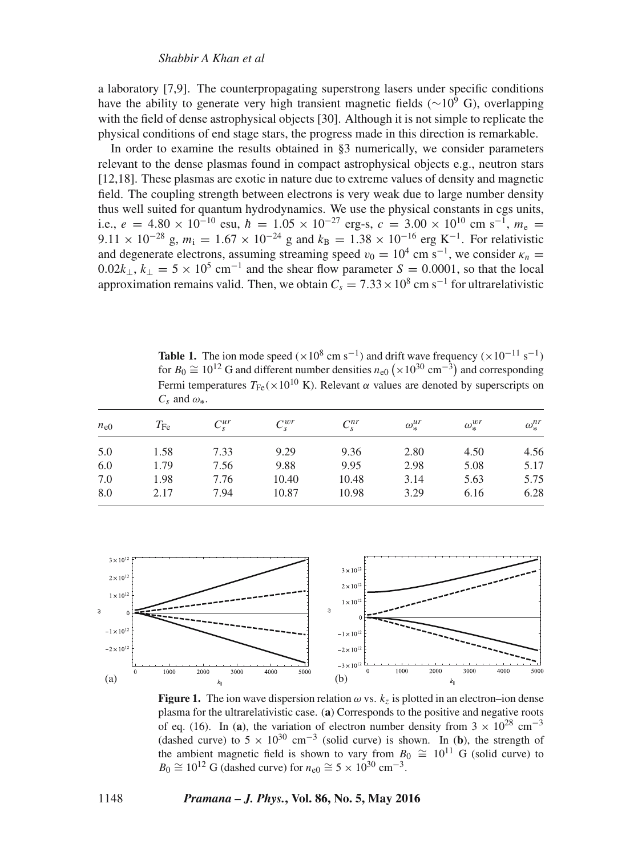a laboratory [7,9]. The counterpropagating superstrong lasers under specific conditions have the ability to generate very high transient magnetic fields ( $\sim$ 10<sup>9</sup> G), overlapping with the field of dense astrophysical objects [30]. Although it is not simple to replicate the physical conditions of end stage stars, the progress made in this direction is remarkable.

In order to examine the results obtained in §3 numerically, we consider parameters relevant to the dense plasmas found in compact astrophysical objects e.g., neutron stars [12,18]. These plasmas are exotic in nature due to extreme values of density and magnetic field. The coupling strength between electrons is very weak due to large number density thus well suited for quantum hydrodynamics. We use the physical constants in cgs units, i.e.,  $e = 4.80 \times 10^{-10}$  esu,  $\hbar = 1.05 \times 10^{-27}$  erg-s,  $c = 3.00 \times 10^{10}$  cm s<sup>-1</sup>,  $m_e$ 9.11 × 10<sup>-28</sup> g,  $m_i = 1.67 \times 10^{-24}$  g and  $k_B = 1.38 \times 10^{-16}$  erg K<sup>-1</sup>. For relativistic and degenerate electrons, assuming streaming speed  $v_0 = 10^4$  cm s<sup>-1</sup>, we consider  $\kappa_n =$  $0.02k_{\perp}$ ,  $k_{\perp} = 5 \times 10^5$  cm<sup>-1</sup> and the shear flow parameter  $S = 0.0001$ , so that the local approximation remains valid. Then, we obtain  $C_s = 7.33 \times 10^8$  cm s<sup>-1</sup> for ultrarelativistic

**Table 1.** The ion mode speed ( $\times 10^8$  cm s<sup>-1</sup>) and drift wave frequency ( $\times 10^{-11}$  s<sup>-1</sup>) for  $B_0 \cong 10^{12}$  G and different number densities  $n_{e0} (\times 10^{30} \text{ cm}^{-3})$  and corresponding Fermi temperatures  $T_{\text{Fe}}(x10^{10} \text{ K})$ . Relevant  $\alpha$  values are denoted by superscripts on  $C_s$  and  $\omega_*$ .

| $n_{e0}$ | $T_{\rm Fe}$ | $C_{\rm s}^{ur}$ | $C_{\rm c}^{wr}$ | $C_s^{nr}$ | $\omega_*^{ur}$ | $\omega_*^{wr}$ | $\omega_*^{nr}$ |
|----------|--------------|------------------|------------------|------------|-----------------|-----------------|-----------------|
| 5.0      | 1.58         | 7.33             | 9.29             | 9.36       | 2.80            | 4.50            | 4.56            |
| 6.0      | 1.79         | 7.56             | 9.88             | 9.95       | 2.98            | 5.08            | 5.17            |
| 7.0      | 1.98         | 7.76             | 10.40            | 10.48      | 3.14            | 5.63            | 5.75            |
| 8.0      | 2.17         | 7.94             | 10.87            | 10.98      | 3.29            | 6.16            | 6.28            |



**Figure 1.** The ion wave dispersion relation  $\omega$  vs.  $k_z$  is plotted in an electron–ion dense plasma for the ultrarelativistic case. (**a**) Corresponds to the positive and negative roots of eq. (16). In (**a**), the variation of electron number density from  $3 \times 10^{28}$  cm<sup>-3</sup> (dashed curve) to  $5 \times 10^{30}$  cm<sup>-3</sup> (solid curve) is shown. In (**b**), the strength of the ambient magnetic field is shown to vary from  $B_0 \cong 10^{11}$  G (solid curve) to  $B_0 \cong 10^{12}$  G (dashed curve) for  $n_{e0} \cong 5 \times 10^{30}$  cm<sup>-3</sup>.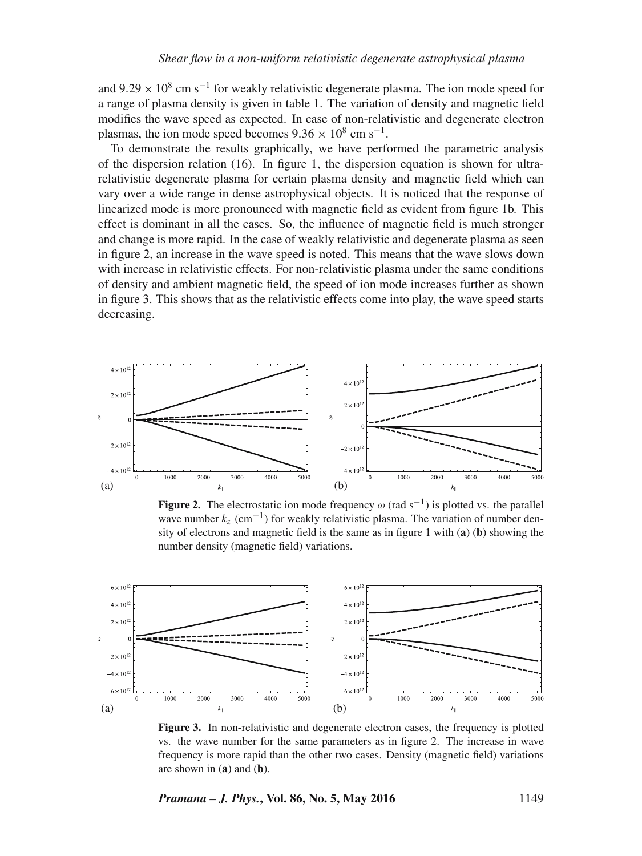and 9.29  $\times$  10<sup>8</sup> cm s<sup>-1</sup> for weakly relativistic degenerate plasma. The ion mode speed for a range of plasma density is given in table 1. The variation of density and magnetic field modifies the wave speed as expected. In case of non-relativistic and degenerate electron plasmas, the ion mode speed becomes  $9.36 \times 10^8$  cm s<sup>-1</sup>.

To demonstrate the results graphically, we have performed the parametric analysis of the dispersion relation (16). In figure 1, the dispersion equation is shown for ultrarelativistic degenerate plasma for certain plasma density and magnetic field which can vary over a wide range in dense astrophysical objects. It is noticed that the response of linearized mode is more pronounced with magnetic field as evident from figure 1b. This effect is dominant in all the cases. So, the influence of magnetic field is much stronger and change is more rapid. In the case of weakly relativistic and degenerate plasma as seen in figure 2, an increase in the wave speed is noted. This means that the wave slows down with increase in relativistic effects. For non-relativistic plasma under the same conditions of density and ambient magnetic field, the speed of ion mode increases further as shown in figure 3. This shows that as the relativistic effects come into play, the wave speed starts decreasing.



**Figure 2.** The electrostatic ion mode frequency  $\omega$  (rad s<sup>-1</sup>) is plotted vs. the parallel wave number  $k_z$  (cm<sup>-1</sup>) for weakly relativistic plasma. The variation of number density of electrons and magnetic field is the same as in figure 1 with (**a**) (**b**) showing the number density (magnetic field) variations.



**Figure 3.** In non-relativistic and degenerate electron cases, the frequency is plotted vs. the wave number for the same parameters as in figure 2. The increase in wave frequency is more rapid than the other two cases. Density (magnetic field) variations are shown in (**a**) and (**b**).

*Pramana – J. Phys.***, Vol. 86, No. 5, May 2016** 1149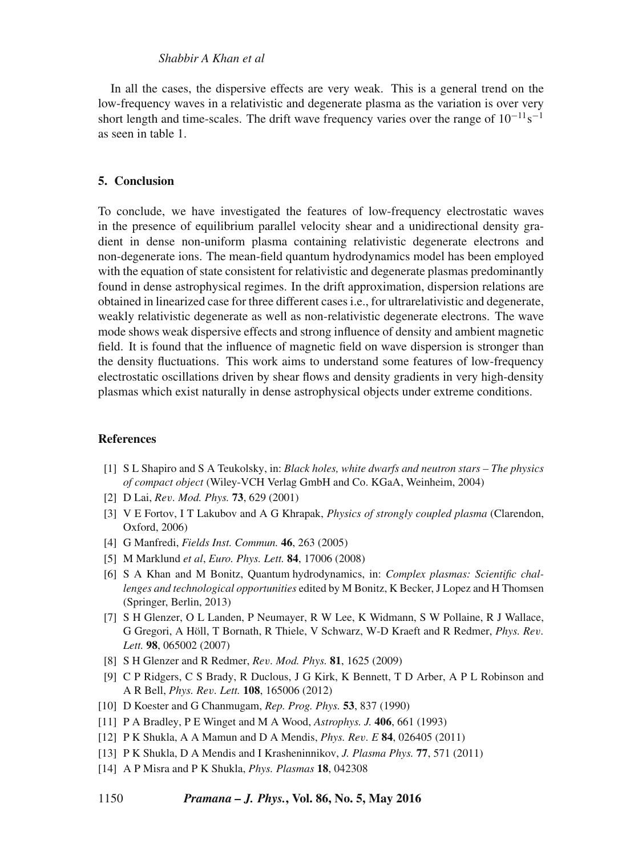#### *Shabbir A Khan et al*

In all the cases, the dispersive effects are very weak. This is a general trend on the low-frequency waves in a relativistic and degenerate plasma as the variation is over very short length and time-scales. The drift wave frequency varies over the range of  $10^{-11}$ s<sup>-1</sup> as seen in table 1.

## **5. Conclusion**

To conclude, we have investigated the features of low-frequency electrostatic waves in the presence of equilibrium parallel velocity shear and a unidirectional density gradient in dense non-uniform plasma containing relativistic degenerate electrons and non-degenerate ions. The mean-field quantum hydrodynamics model has been employed with the equation of state consistent for relativistic and degenerate plasmas predominantly found in dense astrophysical regimes. In the drift approximation, dispersion relations are obtained in linearized case for three different cases i.e., for ultrarelativistic and degenerate, weakly relativistic degenerate as well as non-relativistic degenerate electrons. The wave mode shows weak dispersive effects and strong influence of density and ambient magnetic field. It is found that the influence of magnetic field on wave dispersion is stronger than the density fluctuations. This work aims to understand some features of low-frequency electrostatic oscillations driven by shear flows and density gradients in very high-density plasmas which exist naturally in dense astrophysical objects under extreme conditions.

### **References**

- [1] S L Shapiro and S A Teukolsky, in: *Black holes, white dwarfs and neutron stars The physics of compact object* (Wiley-VCH Verlag GmbH and Co. KGaA, Weinheim, 2004)
- [2] D Lai, *Re*v*. Mod. Phys.* **73**, 629 (2001)
- [3] V E Fortov, I T Lakubov and A G Khrapak, *Physics of strongly coupled plasma* (Clarendon, Oxford, 2006)
- [4] G Manfredi, *Fields Inst. Commun.* **46**, 263 (2005)
- [5] M Marklund *et al*, *Euro. Phys. Lett.* **84**, 17006 (2008)
- [6] S A Khan and M Bonitz, Quantum hydrodynamics, in: *Complex plasmas: Scientific challenges and technological opportunities* edited by M Bonitz, K Becker, J Lopez and H Thomsen (Springer, Berlin, 2013)
- [7] S H Glenzer, O L Landen, P Neumayer, R W Lee, K Widmann, S W Pollaine, R J Wallace, G Gregori, A Höll, T Bornath, R Thiele, V Schwarz, W-D Kraeft and R Redmer, *Phys. Re*v*. Lett.* **98**, 065002 (2007)
- [8] S H Glenzer and R Redmer, *Re*v*. Mod. Phys.* **81**, 1625 (2009)
- [9] C P Ridgers, C S Brady, R Duclous, J G Kirk, K Bennett, T D Arber, A P L Robinson and A R Bell, *Phys. Re*v*. Lett.* **108**, 165006 (2012)
- [10] D Koester and G Chanmugam, *Rep. Prog. Phys.* **53**, 837 (1990)
- [11] P A Bradley, P E Winget and M A Wood, *Astrophys. J.* **406**, 661 (1993)
- [12] P K Shukla, A A Mamun and D A Mendis, *Phys. Re*v*. E* **84**, 026405 (2011)
- [13] P K Shukla, D A Mendis and I Krasheninnikov, *J. Plasma Phys.* **77**, 571 (2011)
- [14] A P Misra and P K Shukla, *Phys. Plasmas* **18**, 042308